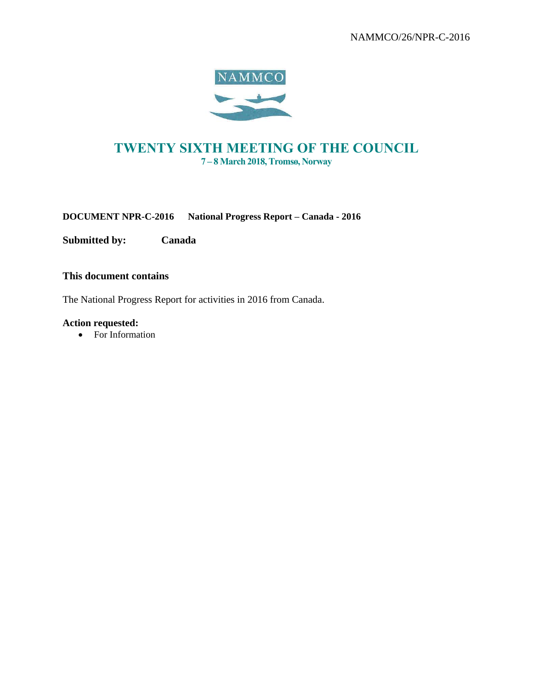

#### **TWENTY SIXTH MEETING OF THE COUNCIL 7 – 8 March 2018, Tromsø, Norway**

**DOCUMENT NPR-C-2016 National Progress Report – Canada - 2016**

**Submitted by: Canada**

**This document contains**

The National Progress Report for activities in 2016 from Canada.

#### **Action requested:**

• For Information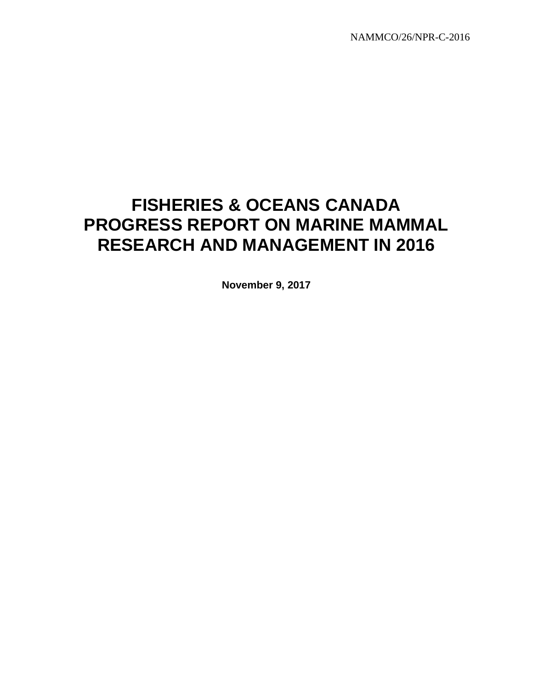NAMMCO/26/NPR-C-2016

# **FISHERIES & OCEANS CANADA PROGRESS REPORT ON MARINE MAMMAL RESEARCH AND MANAGEMENT IN 2016**

**November 9, 2017**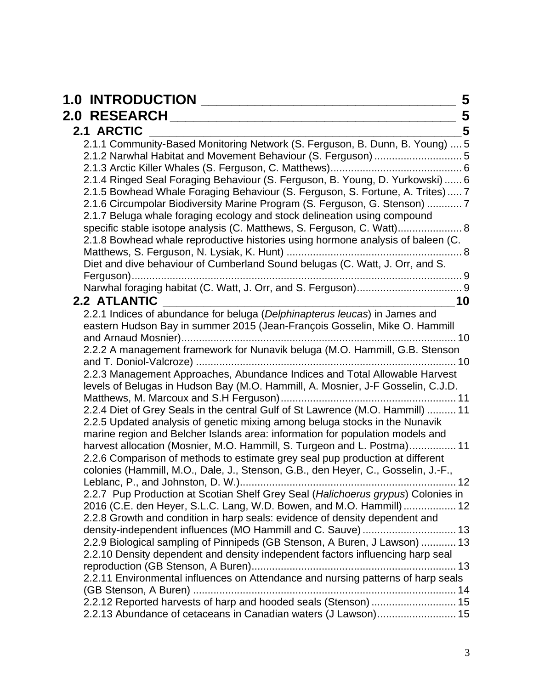#### **1.0 INTRODUCTION [\\_\\_\\_\\_\\_\\_\\_\\_\\_\\_\\_\\_\\_\\_\\_\\_\\_\\_\\_\\_\\_\\_\\_\\_\\_\\_\\_\\_\\_\\_\\_\\_\\_](#page-4-0) 5 2.0 RESEARCH [\\_\\_\\_\\_\\_\\_\\_\\_\\_\\_\\_\\_\\_\\_\\_\\_\\_\\_\\_\\_\\_\\_\\_\\_\\_\\_\\_\\_\\_\\_\\_\\_\\_\\_\\_\\_\\_](#page-4-1) 5 2.1 ARCTIC [\\_\\_\\_\\_\\_\\_\\_\\_\\_\\_\\_\\_\\_\\_\\_\\_\\_\\_\\_\\_\\_\\_\\_\\_\\_\\_\\_\\_\\_\\_\\_\\_\\_\\_\\_\\_\\_\\_\\_\\_\\_\\_\\_\\_\\_\\_5](#page-4-2)** [2.1.1 Community-Based Monitoring Network \(S. Ferguson, B.](#page-4-3) Dunn, B. Young) .... 5 [2.1.2 Narwhal Habitat and Movement Behaviour \(S. Ferguson\)](#page-4-4) .............................. 5 [2.1.3 Arctic Killer Whales \(S. Ferguson, C. Matthews\).............................................](#page-5-0) 6 [2.1.4 Ringed Seal Foraging Behaviour \(S. Ferguson, B. Young, D. Yurkowski\)](#page-5-1) ...... 6 [2.1.5 Bowhead Whale Foraging Behaviour \(S. Ferguson, S. Fortune, A. Trites\).....](#page-6-0) 7 [2.1.6 Circumpolar Biodiversity Marine Program \(S. Ferguson, G. Stenson\)](#page-6-1) ............ 7 [2.1.7 Beluga whale foraging ecology and stock delineation using compound](#page-7-0)  [specific stable isotope analysis \(C. Matthews, S. Ferguson, C. Watt\)......................](#page-7-0) 8 [2.1.8 Bowhead whale reproductive histories using hormone analysis of baleen \(C.](#page-7-1)  [Matthews, S. Ferguson, N. Lysiak, K. Hunt\)](#page-7-1) ............................................................ 8 [Diet and dive behaviour of Cumberland Sound belugas \(C. Watt, J. Orr, and S.](#page-8-0)  [Ferguson\).................................................................................................................](#page-8-0) 9 [Narwhal foraging habitat \(C. Watt, J. Orr, and S. Ferguson\)....................................](#page-8-1) 9 **2.2 ATLANTIC [\\_\\_\\_\\_\\_\\_\\_\\_\\_\\_\\_\\_\\_\\_\\_\\_\\_\\_\\_\\_\\_\\_\\_\\_\\_\\_\\_\\_\\_\\_\\_\\_\\_\\_\\_\\_\\_\\_\\_\\_\\_\\_\\_10](#page-9-0)** [2.2.1 Indices of abundance for](#page-9-1) beluga (*Delphinapterus leucas*) in James and [eastern Hudson Bay in summer 2015 \(Jean-François Gosselin, Mike O. Hammill](#page-9-1)  [and Arnaud Mosnier\)..............................................................................................](#page-9-1) 10 [2.2.2 A management framework for Nunavik beluga \(M.O. Hammill, G.B. Stenson](#page-9-2)  and T. Doniol-Valcroze) [.........................................................................................](#page-9-2) 10 [2.2.3 Management Approaches, Abundance Indices and Total Allowable Harvest](#page-10-0)  [levels of Belugas in Hudson Bay \(M.O. Hammill, A. Mosnier, J-F Gosselin, C.J.D.](#page-10-0)  [Matthews, M. Marcoux and S.H Ferguson\)............................................................](#page-10-0) 11 [2.2.4 Diet of Grey Seals in the central Gulf of St Lawrence \(M.O. Hammill\)](#page-10-1) .......... 11 [2.2.5 Updated analysis of genetic mixing among beluga stocks in the Nunavik](#page-10-2)  [marine region and Belcher Islands area: information for population models and](#page-10-2)  [harvest allocation \(Mosnier, M.O. Hammill, S. Turgeon and L. Postma\)................](#page-10-2) 11 [2.2.6 Comparison of methods to estimate grey seal pup production at different](#page-11-0)  [colonies \(Hammill, M.O., Dale, J., Stenson, G.B., den Heyer, C., Gosselin, J.-F.,](#page-11-0)  [Leblanc, P., and Johnston, D. W.\)..........................................................................](#page-11-0) 12 [2.2.7 Pup Production at Scotian Shelf Grey Seal \(](#page-11-1)*Halichoerus grypus*) Colonies in [2016 \(C.E. den Heyer, S.L.C. Lang, W.D. Bowen, and M.O. Hammill\)..................](#page-11-1) 12 [2.2.8 Growth and condition in harp seals: evidence of density dependent and](#page-12-0)  [density-independent influences \(MO Hammill and C. Sauve\)................................](#page-12-0) 13 [2.2.9 Biological sampling of Pinnipeds \(GB Stenson, A Buren, J Lawson\)](#page-12-1) ............ 13 [2.2.10 Density dependent and density independent factors influencing harp seal](#page-12-2)  [reproduction \(GB Stenson, A Buren\)......................................................................](#page-12-2) 13 [2.2.11 Environmental influences on Attendance and nursing patterns of harp seals](#page-13-0)  (GB Stenson, A Buren) [..........................................................................................](#page-13-0) 14 [2.2.12 Reported harvests of harp and hooded seals \(Stenson\).............................](#page-14-0) 15 [2.2.13 Abundance of cetaceans in Canadian waters \(J Lawson\)...........................](#page-14-1) 15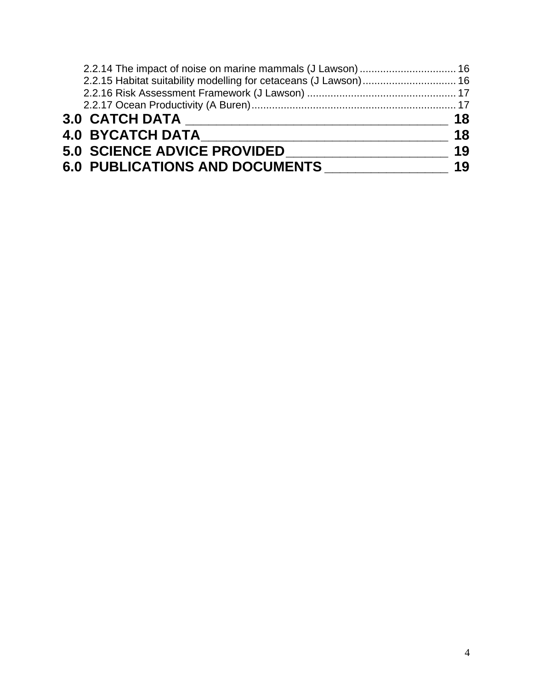| <b>3.0 CATCH DATA</b>                 | 18 |
|---------------------------------------|----|
| <b>4.0 BYCATCH DATA</b>               | 18 |
| <b>5.0 SCIENCE ADVICE PROVIDED</b>    | 19 |
| <b>6.0 PUBLICATIONS AND DOCUMENTS</b> | 19 |
|                                       |    |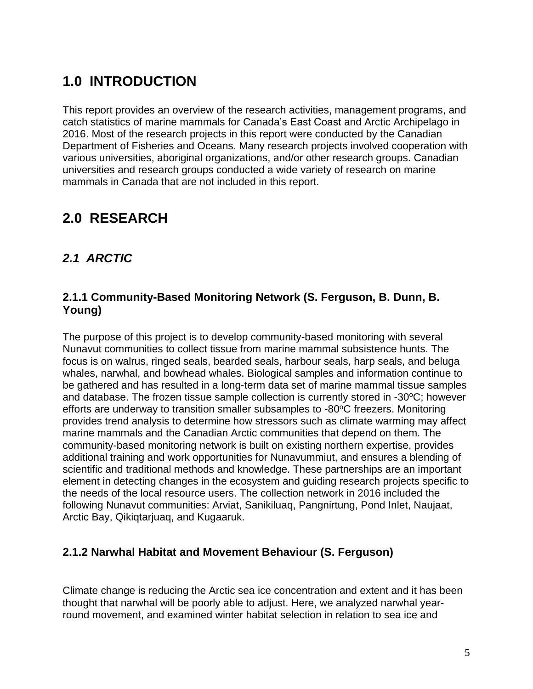## <span id="page-4-0"></span>**1.0 INTRODUCTION**

This report provides an overview of the research activities, management programs, and catch statistics of marine mammals for Canada's East Coast and Arctic Archipelago in 2016. Most of the research projects in this report were conducted by the Canadian Department of Fisheries and Oceans. Many research projects involved cooperation with various universities, aboriginal organizations, and/or other research groups. Canadian universities and research groups conducted a wide variety of research on marine mammals in Canada that are not included in this report.

## <span id="page-4-1"></span>**2.0 RESEARCH**

## <span id="page-4-2"></span>*2.1 ARCTIC*

### <span id="page-4-3"></span>**2.1.1 Community-Based Monitoring Network (S. Ferguson, B. Dunn, B. Young)**

The purpose of this project is to develop community-based monitoring with several Nunavut communities to collect tissue from marine mammal subsistence hunts. The focus is on walrus, ringed seals, bearded seals, harbour seals, harp seals, and beluga whales, narwhal, and bowhead whales. Biological samples and information continue to be gathered and has resulted in a long-term data set of marine mammal tissue samples and database. The frozen tissue sample collection is currently stored in  $-30^{\circ}$ C; however efforts are underway to transition smaller subsamples to -80°C freezers. Monitoring provides trend analysis to determine how stressors such as climate warming may affect marine mammals and the Canadian Arctic communities that depend on them. The community-based monitoring network is built on existing northern expertise, provides additional training and work opportunities for Nunavummiut, and ensures a blending of scientific and traditional methods and knowledge. These partnerships are an important element in detecting changes in the ecosystem and guiding research projects specific to the needs of the local resource users. The collection network in 2016 included the following Nunavut communities: Arviat, Sanikiluaq, Pangnirtung, Pond Inlet, Naujaat, Arctic Bay, Qikiqtarjuaq, and Kugaaruk.

### <span id="page-4-4"></span>**2.1.2 Narwhal Habitat and Movement Behaviour (S. Ferguson)**

Climate change is reducing the Arctic sea ice concentration and extent and it has been thought that narwhal will be poorly able to adjust. Here, we analyzed narwhal yearround movement, and examined winter habitat selection in relation to sea ice and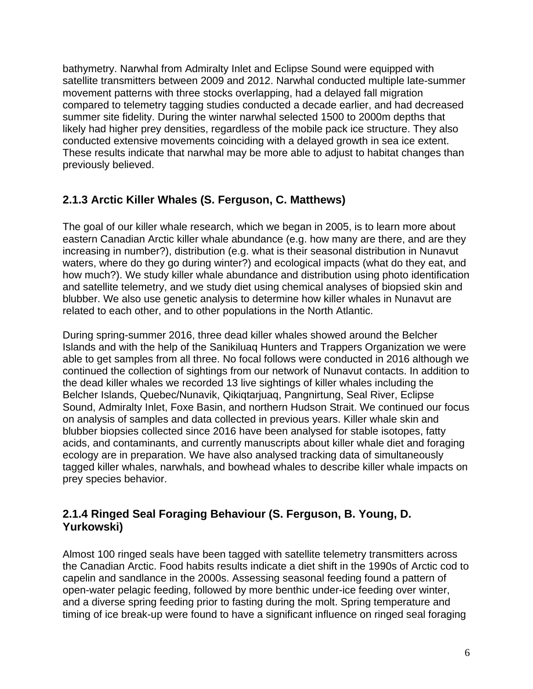bathymetry. Narwhal from Admiralty Inlet and Eclipse Sound were equipped with satellite transmitters between 2009 and 2012. Narwhal conducted multiple late-summer movement patterns with three stocks overlapping, had a delayed fall migration compared to telemetry tagging studies conducted a decade earlier, and had decreased summer site fidelity. During the winter narwhal selected 1500 to 2000m depths that likely had higher prey densities, regardless of the mobile pack ice structure. They also conducted extensive movements coinciding with a delayed growth in sea ice extent. These results indicate that narwhal may be more able to adjust to habitat changes than previously believed.

## <span id="page-5-0"></span>**2.1.3 Arctic Killer Whales (S. Ferguson, C. Matthews)**

The goal of our killer whale research, which we began in 2005, is to learn more about eastern Canadian Arctic killer whale abundance (e.g. how many are there, and are they increasing in number?), distribution (e.g. what is their seasonal distribution in Nunavut waters, where do they go during winter?) and ecological impacts (what do they eat, and how much?). We study killer whale abundance and distribution using photo identification and satellite telemetry, and we study diet using chemical analyses of biopsied skin and blubber. We also use genetic analysis to determine how killer whales in Nunavut are related to each other, and to other populations in the North Atlantic.

During spring-summer 2016, three dead killer whales showed around the Belcher Islands and with the help of the Sanikiluaq Hunters and Trappers Organization we were able to get samples from all three. No focal follows were conducted in 2016 although we continued the collection of sightings from our network of Nunavut contacts. In addition to the dead killer whales we recorded 13 live sightings of killer whales including the Belcher Islands, Quebec/Nunavik, Qikiqtarjuaq, Pangnirtung, Seal River, Eclipse Sound, Admiralty Inlet, Foxe Basin, and northern Hudson Strait. We continued our focus on analysis of samples and data collected in previous years. Killer whale skin and blubber biopsies collected since 2016 have been analysed for stable isotopes, fatty acids, and contaminants, and currently manuscripts about killer whale diet and foraging ecology are in preparation. We have also analysed tracking data of simultaneously tagged killer whales, narwhals, and bowhead whales to describe killer whale impacts on prey species behavior.

#### <span id="page-5-1"></span>**2.1.4 Ringed Seal Foraging Behaviour (S. Ferguson, B. Young, D. Yurkowski)**

Almost 100 ringed seals have been tagged with satellite telemetry transmitters across the Canadian Arctic. Food habits results indicate a diet shift in the 1990s of Arctic cod to capelin and sandlance in the 2000s. Assessing seasonal feeding found a pattern of open-water pelagic feeding, followed by more benthic under-ice feeding over winter, and a diverse spring feeding prior to fasting during the molt. Spring temperature and timing of ice break-up were found to have a significant influence on ringed seal foraging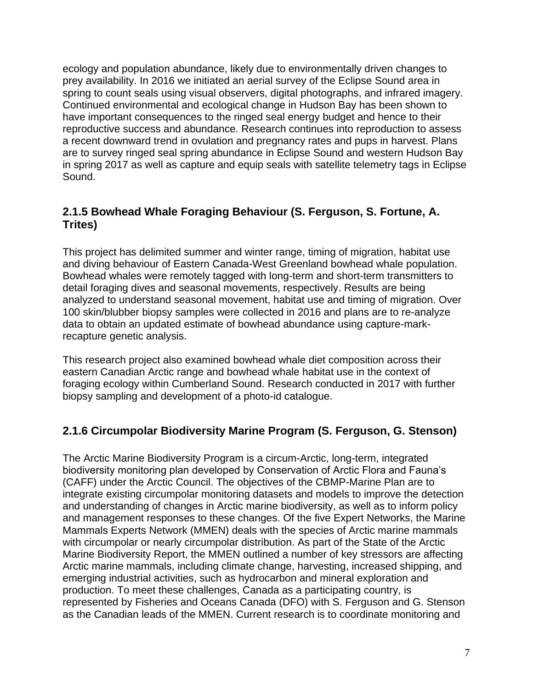ecology and population abundance, likely due to environmentally driven changes to prey availability. In 2016 we initiated an aerial survey of the Eclipse Sound area in spring to count seals using visual observers, digital photographs, and infrared imagery. Continued environmental and ecological change in Hudson Bay has been shown to have important consequences to the ringed seal energy budget and hence to their reproductive success and abundance. Research continues into reproduction to assess a recent downward trend in ovulation and pregnancy rates and pups in harvest. Plans are to survey ringed seal spring abundance in Eclipse Sound and western Hudson Bay in spring 2017 as well as capture and equip seals with satellite telemetry tags in Eclipse Sound.

## <span id="page-6-0"></span>**2.1.5 Bowhead Whale Foraging Behaviour (S. Ferguson, S. Fortune, A. Trites)**

This project has delimited summer and winter range, timing of migration, habitat use and diving behaviour of Eastern Canada-West Greenland bowhead whale population. Bowhead whales were remotely tagged with long-term and short-term transmitters to detail foraging dives and seasonal movements, respectively. Results are being analyzed to understand seasonal movement, habitat use and timing of migration. Over 100 skin/blubber biopsy samples were collected in 2016 and plans are to re-analyze data to obtain an updated estimate of bowhead abundance using capture-markrecapture genetic analysis.

This research project also examined bowhead whale diet composition across their eastern Canadian Arctic range and bowhead whale habitat use in the context of foraging ecology within Cumberland Sound. Research conducted in 2017 with further biopsy sampling and development of a photo-id catalogue.

### <span id="page-6-1"></span>**2.1.6 Circumpolar Biodiversity Marine Program (S. Ferguson, G. Stenson)**

The Arctic Marine Biodiversity Program is a circum-Arctic, long-term, integrated biodiversity monitoring plan developed by Conservation of Arctic Flora and Fauna's (CAFF) under the Arctic Council. The objectives of the CBMP-Marine Plan are to integrate existing circumpolar monitoring datasets and models to improve the detection and understanding of changes in Arctic marine biodiversity, as well as to inform policy and management responses to these changes. Of the five Expert Networks, the Marine Mammals Experts Network (MMEN) deals with the species of Arctic marine mammals with circumpolar or nearly circumpolar distribution. As part of the State of the Arctic Marine Biodiversity Report, the MMEN outlined a number of key stressors are affecting Arctic marine mammals, including climate change, harvesting, increased shipping, and emerging industrial activities, such as hydrocarbon and mineral exploration and production. To meet these challenges, Canada as a participating country, is represented by Fisheries and Oceans Canada (DFO) with S. Ferguson and G. Stenson as the Canadian leads of the MMEN. Current research is to coordinate monitoring and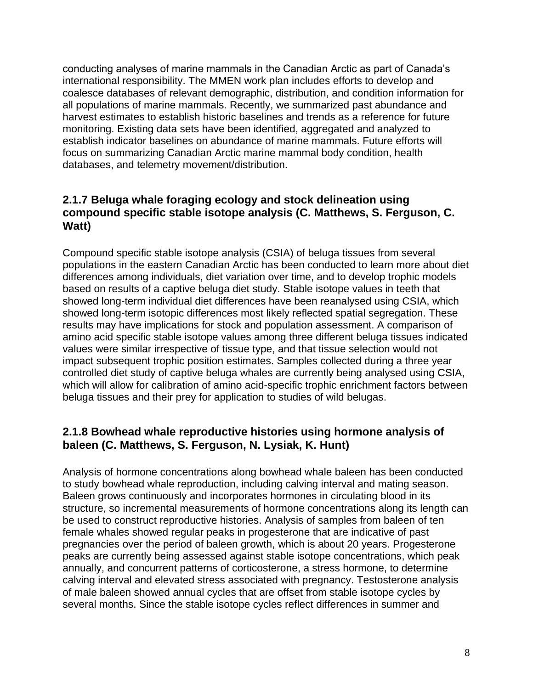conducting analyses of marine mammals in the Canadian Arctic as part of Canada's international responsibility. The MMEN work plan includes efforts to develop and coalesce databases of relevant demographic, distribution, and condition information for all populations of marine mammals. Recently, we summarized past abundance and harvest estimates to establish historic baselines and trends as a reference for future monitoring. Existing data sets have been identified, aggregated and analyzed to establish indicator baselines on abundance of marine mammals. Future efforts will focus on summarizing Canadian Arctic marine mammal body condition, health databases, and telemetry movement/distribution.

#### <span id="page-7-0"></span>**2.1.7 Beluga whale foraging ecology and stock delineation using compound specific stable isotope analysis (C. Matthews, S. Ferguson, C. Watt)**

Compound specific stable isotope analysis (CSIA) of beluga tissues from several populations in the eastern Canadian Arctic has been conducted to learn more about diet differences among individuals, diet variation over time, and to develop trophic models based on results of a captive beluga diet study. Stable isotope values in teeth that showed long-term individual diet differences have been reanalysed using CSIA, which showed long-term isotopic differences most likely reflected spatial segregation. These results may have implications for stock and population assessment. A comparison of amino acid specific stable isotope values among three different beluga tissues indicated values were similar irrespective of tissue type, and that tissue selection would not impact subsequent trophic position estimates. Samples collected during a three year controlled diet study of captive beluga whales are currently being analysed using CSIA, which will allow for calibration of amino acid-specific trophic enrichment factors between beluga tissues and their prey for application to studies of wild belugas.

#### <span id="page-7-1"></span>**2.1.8 Bowhead whale reproductive histories using hormone analysis of baleen (C. Matthews, S. Ferguson, N. Lysiak, K. Hunt)**

Analysis of hormone concentrations along bowhead whale baleen has been conducted to study bowhead whale reproduction, including calving interval and mating season. Baleen grows continuously and incorporates hormones in circulating blood in its structure, so incremental measurements of hormone concentrations along its length can be used to construct reproductive histories. Analysis of samples from baleen of ten female whales showed regular peaks in progesterone that are indicative of past pregnancies over the period of baleen growth, which is about 20 years. Progesterone peaks are currently being assessed against stable isotope concentrations, which peak annually, and concurrent patterns of corticosterone, a stress hormone, to determine calving interval and elevated stress associated with pregnancy. Testosterone analysis of male baleen showed annual cycles that are offset from stable isotope cycles by several months. Since the stable isotope cycles reflect differences in summer and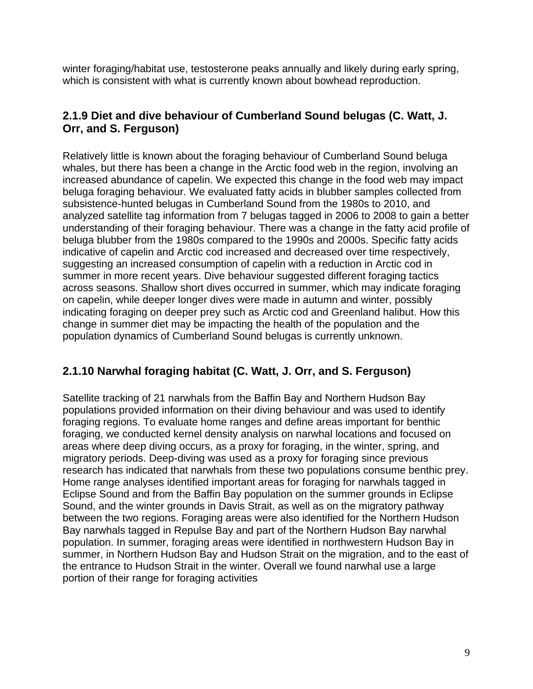winter foraging/habitat use, testosterone peaks annually and likely during early spring, which is consistent with what is currently known about bowhead reproduction.

## <span id="page-8-0"></span>**2.1.9 Diet and dive behaviour of Cumberland Sound belugas (C. Watt, J. Orr, and S. Ferguson)**

Relatively little is known about the foraging behaviour of Cumberland Sound beluga whales, but there has been a change in the Arctic food web in the region, involving an increased abundance of capelin. We expected this change in the food web may impact beluga foraging behaviour. We evaluated fatty acids in blubber samples collected from subsistence-hunted belugas in Cumberland Sound from the 1980s to 2010, and analyzed satellite tag information from 7 belugas tagged in 2006 to 2008 to gain a better understanding of their foraging behaviour. There was a change in the fatty acid profile of beluga blubber from the 1980s compared to the 1990s and 2000s. Specific fatty acids indicative of capelin and Arctic cod increased and decreased over time respectively, suggesting an increased consumption of capelin with a reduction in Arctic cod in summer in more recent years. Dive behaviour suggested different foraging tactics across seasons. Shallow short dives occurred in summer, which may indicate foraging on capelin, while deeper longer dives were made in autumn and winter, possibly indicating foraging on deeper prey such as Arctic cod and Greenland halibut. How this change in summer diet may be impacting the health of the population and the population dynamics of Cumberland Sound belugas is currently unknown.

### <span id="page-8-1"></span>**2.1.10 Narwhal foraging habitat (C. Watt, J. Orr, and S. Ferguson)**

Satellite tracking of 21 narwhals from the Baffin Bay and Northern Hudson Bay populations provided information on their diving behaviour and was used to identify foraging regions. To evaluate home ranges and define areas important for benthic foraging, we conducted kernel density analysis on narwhal locations and focused on areas where deep diving occurs, as a proxy for foraging, in the winter, spring, and migratory periods. Deep-diving was used as a proxy for foraging since previous research has indicated that narwhals from these two populations consume benthic prey. Home range analyses identified important areas for foraging for narwhals tagged in Eclipse Sound and from the Baffin Bay population on the summer grounds in Eclipse Sound, and the winter grounds in Davis Strait, as well as on the migratory pathway between the two regions. Foraging areas were also identified for the Northern Hudson Bay narwhals tagged in Repulse Bay and part of the Northern Hudson Bay narwhal population. In summer, foraging areas were identified in northwestern Hudson Bay in summer, in Northern Hudson Bay and Hudson Strait on the migration, and to the east of the entrance to Hudson Strait in the winter. Overall we found narwhal use a large portion of their range for foraging activities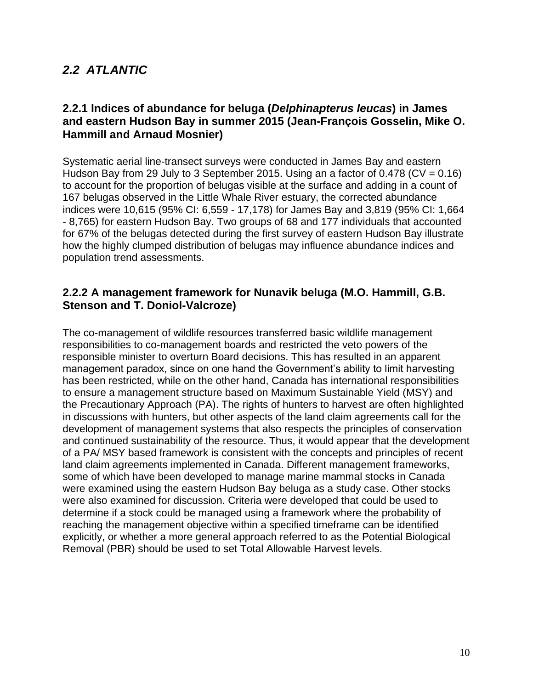## <span id="page-9-0"></span>*2.2 ATLANTIC*

#### <span id="page-9-1"></span>**2.2.1 Indices of abundance for beluga (***Delphinapterus leucas***) in James and eastern Hudson Bay in summer 2015 (Jean-François Gosselin, Mike O. Hammill and Arnaud Mosnier)**

Systematic aerial line-transect surveys were conducted in James Bay and eastern Hudson Bay from 29 July to 3 September 2015. Using an a factor of  $0.478$  (CV =  $0.16$ ) to account for the proportion of belugas visible at the surface and adding in a count of 167 belugas observed in the Little Whale River estuary, the corrected abundance indices were 10,615 (95% CI: 6,559 - 17,178) for James Bay and 3,819 (95% CI: 1,664 - 8,765) for eastern Hudson Bay. Two groups of 68 and 177 individuals that accounted for 67% of the belugas detected during the first survey of eastern Hudson Bay illustrate how the highly clumped distribution of belugas may influence abundance indices and population trend assessments.

#### <span id="page-9-2"></span>**2.2.2 A management framework for Nunavik beluga (M.O. Hammill, G.B. Stenson and T. Doniol-Valcroze)**

The co-management of wildlife resources transferred basic wildlife management responsibilities to co-management boards and restricted the veto powers of the responsible minister to overturn Board decisions. This has resulted in an apparent management paradox, since on one hand the Government's ability to limit harvesting has been restricted, while on the other hand, Canada has international responsibilities to ensure a management structure based on Maximum Sustainable Yield (MSY) and the Precautionary Approach (PA). The rights of hunters to harvest are often highlighted in discussions with hunters, but other aspects of the land claim agreements call for the development of management systems that also respects the principles of conservation and continued sustainability of the resource. Thus, it would appear that the development of a PA/ MSY based framework is consistent with the concepts and principles of recent land claim agreements implemented in Canada. Different management frameworks, some of which have been developed to manage marine mammal stocks in Canada were examined using the eastern Hudson Bay beluga as a study case. Other stocks were also examined for discussion. Criteria were developed that could be used to determine if a stock could be managed using a framework where the probability of reaching the management objective within a specified timeframe can be identified explicitly, or whether a more general approach referred to as the Potential Biological Removal (PBR) should be used to set Total Allowable Harvest levels.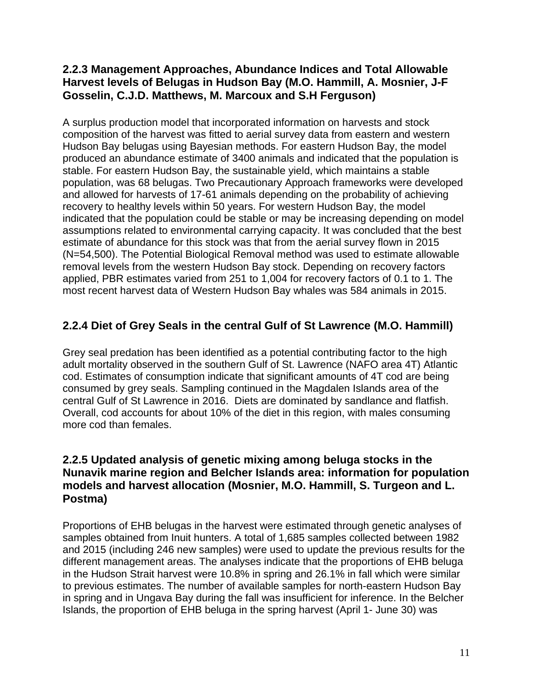#### <span id="page-10-0"></span>**2.2.3 Management Approaches, Abundance Indices and Total Allowable Harvest levels of Belugas in Hudson Bay (M.O. Hammill, A. Mosnier, J-F Gosselin, C.J.D. Matthews, M. Marcoux and S.H Ferguson)**

A surplus production model that incorporated information on harvests and stock composition of the harvest was fitted to aerial survey data from eastern and western Hudson Bay belugas using Bayesian methods. For eastern Hudson Bay, the model produced an abundance estimate of 3400 animals and indicated that the population is stable. For eastern Hudson Bay, the sustainable yield, which maintains a stable population, was 68 belugas. Two Precautionary Approach frameworks were developed and allowed for harvests of 17-61 animals depending on the probability of achieving recovery to healthy levels within 50 years. For western Hudson Bay, the model indicated that the population could be stable or may be increasing depending on model assumptions related to environmental carrying capacity. It was concluded that the best estimate of abundance for this stock was that from the aerial survey flown in 2015 (N=54,500). The Potential Biological Removal method was used to estimate allowable removal levels from the western Hudson Bay stock. Depending on recovery factors applied, PBR estimates varied from 251 to 1,004 for recovery factors of 0.1 to 1. The most recent harvest data of Western Hudson Bay whales was 584 animals in 2015.

## <span id="page-10-1"></span>**2.2.4 Diet of Grey Seals in the central Gulf of St Lawrence (M.O. Hammill)**

Grey seal predation has been identified as a potential contributing factor to the high adult mortality observed in the southern Gulf of St. Lawrence (NAFO area 4T) Atlantic cod. Estimates of consumption indicate that significant amounts of 4T cod are being consumed by grey seals. Sampling continued in the Magdalen Islands area of the central Gulf of St Lawrence in 2016. Diets are dominated by sandlance and flatfish. Overall, cod accounts for about 10% of the diet in this region, with males consuming more cod than females.

#### <span id="page-10-2"></span>**2.2.5 Updated analysis of genetic mixing among beluga stocks in the Nunavik marine region and Belcher Islands area: information for population models and harvest allocation (Mosnier, M.O. Hammill, S. Turgeon and L. Postma)**

Proportions of EHB belugas in the harvest were estimated through genetic analyses of samples obtained from Inuit hunters. A total of 1,685 samples collected between 1982 and 2015 (including 246 new samples) were used to update the previous results for the different management areas. The analyses indicate that the proportions of EHB beluga in the Hudson Strait harvest were 10.8% in spring and 26.1% in fall which were similar to previous estimates. The number of available samples for north-eastern Hudson Bay in spring and in Ungava Bay during the fall was insufficient for inference. In the Belcher Islands, the proportion of EHB beluga in the spring harvest (April 1- June 30) was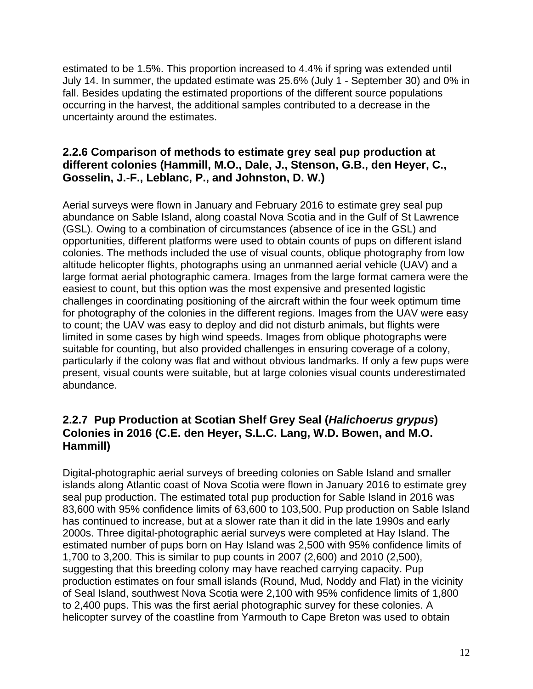estimated to be 1.5%. This proportion increased to 4.4% if spring was extended until July 14. In summer, the updated estimate was 25.6% (July 1 - September 30) and 0% in fall. Besides updating the estimated proportions of the different source populations occurring in the harvest, the additional samples contributed to a decrease in the uncertainty around the estimates.

#### <span id="page-11-0"></span>**2.2.6 Comparison of methods to estimate grey seal pup production at different colonies (Hammill, M.O., Dale, J., Stenson, G.B., den Heyer, C., Gosselin, J.-F., Leblanc, P., and Johnston, D. W.)**

Aerial surveys were flown in January and February 2016 to estimate grey seal pup abundance on Sable Island, along coastal Nova Scotia and in the Gulf of St Lawrence (GSL). Owing to a combination of circumstances (absence of ice in the GSL) and opportunities, different platforms were used to obtain counts of pups on different island colonies. The methods included the use of visual counts, oblique photography from low altitude helicopter flights, photographs using an unmanned aerial vehicle (UAV) and a large format aerial photographic camera. Images from the large format camera were the easiest to count, but this option was the most expensive and presented logistic challenges in coordinating positioning of the aircraft within the four week optimum time for photography of the colonies in the different regions. Images from the UAV were easy to count; the UAV was easy to deploy and did not disturb animals, but flights were limited in some cases by high wind speeds. Images from oblique photographs were suitable for counting, but also provided challenges in ensuring coverage of a colony, particularly if the colony was flat and without obvious landmarks. If only a few pups were present, visual counts were suitable, but at large colonies visual counts underestimated abundance.

#### <span id="page-11-1"></span>**2.2.7 Pup Production at Scotian Shelf Grey Seal (***Halichoerus grypus***) Colonies in 2016 (C.E. den Heyer, S.L.C. Lang, W.D. Bowen, and M.O. Hammill)**

Digital-photographic aerial surveys of breeding colonies on Sable Island and smaller islands along Atlantic coast of Nova Scotia were flown in January 2016 to estimate grey seal pup production. The estimated total pup production for Sable Island in 2016 was 83,600 with 95% confidence limits of 63,600 to 103,500. Pup production on Sable Island has continued to increase, but at a slower rate than it did in the late 1990s and early 2000s. Three digital-photographic aerial surveys were completed at Hay Island. The estimated number of pups born on Hay Island was 2,500 with 95% confidence limits of 1,700 to 3,200. This is similar to pup counts in 2007 (2,600) and 2010 (2,500), suggesting that this breeding colony may have reached carrying capacity. Pup production estimates on four small islands (Round, Mud, Noddy and Flat) in the vicinity of Seal Island, southwest Nova Scotia were 2,100 with 95% confidence limits of 1,800 to 2,400 pups. This was the first aerial photographic survey for these colonies. A helicopter survey of the coastline from Yarmouth to Cape Breton was used to obtain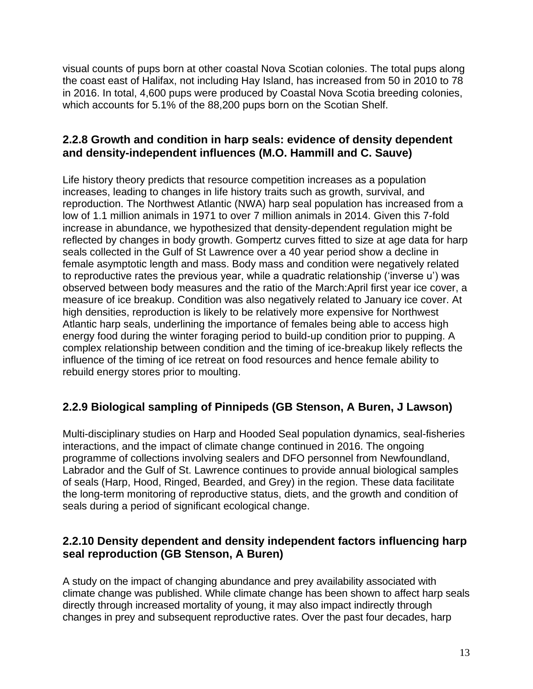visual counts of pups born at other coastal Nova Scotian colonies. The total pups along the coast east of Halifax, not including Hay Island, has increased from 50 in 2010 to 78 in 2016. In total, 4,600 pups were produced by Coastal Nova Scotia breeding colonies, which accounts for 5.1% of the 88,200 pups born on the Scotian Shelf.

#### <span id="page-12-0"></span>**2.2.8 Growth and condition in harp seals: evidence of density dependent and density-independent influences (M.O. Hammill and C. Sauve)**

Life history theory predicts that resource competition increases as a population increases, leading to changes in life history traits such as growth, survival, and reproduction. The Northwest Atlantic (NWA) harp seal population has increased from a low of 1.1 million animals in 1971 to over 7 million animals in 2014. Given this 7-fold increase in abundance, we hypothesized that density-dependent regulation might be reflected by changes in body growth. Gompertz curves fitted to size at age data for harp seals collected in the Gulf of St Lawrence over a 40 year period show a decline in female asymptotic length and mass. Body mass and condition were negatively related to reproductive rates the previous year, while a quadratic relationship ('inverse u') was observed between body measures and the ratio of the March:April first year ice cover, a measure of ice breakup. Condition was also negatively related to January ice cover. At high densities, reproduction is likely to be relatively more expensive for Northwest Atlantic harp seals, underlining the importance of females being able to access high energy food during the winter foraging period to build-up condition prior to pupping. A complex relationship between condition and the timing of ice-breakup likely reflects the influence of the timing of ice retreat on food resources and hence female ability to rebuild energy stores prior to moulting.

## <span id="page-12-1"></span>**2.2.9 Biological sampling of Pinnipeds (GB Stenson, A Buren, J Lawson)**

Multi-disciplinary studies on Harp and Hooded Seal population dynamics, seal-fisheries interactions, and the impact of climate change continued in 2016. The ongoing programme of collections involving sealers and DFO personnel from Newfoundland, Labrador and the Gulf of St. Lawrence continues to provide annual biological samples of seals (Harp, Hood, Ringed, Bearded, and Grey) in the region. These data facilitate the long-term monitoring of reproductive status, diets, and the growth and condition of seals during a period of significant ecological change.

#### <span id="page-12-2"></span>**2.2.10 Density dependent and density independent factors influencing harp seal reproduction (GB Stenson, A Buren)**

A study on the impact of changing abundance and prey availability associated with climate change was published. While climate change has been shown to affect harp seals directly through increased mortality of young, it may also impact indirectly through changes in prey and subsequent reproductive rates. Over the past four decades, harp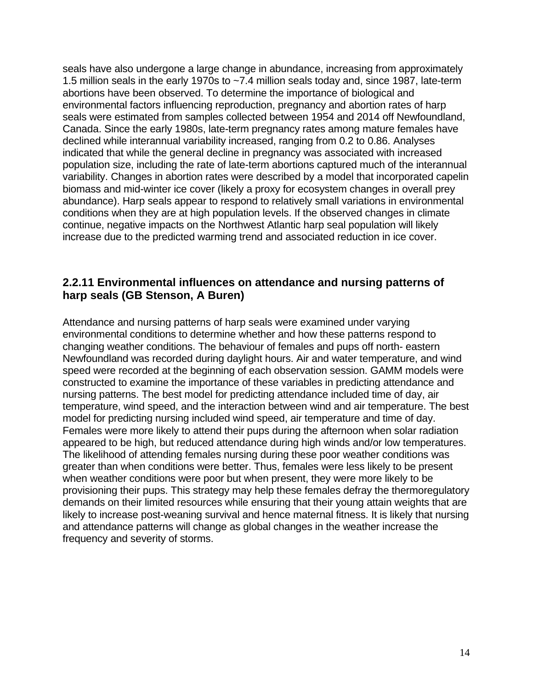seals have also undergone a large change in abundance, increasing from approximately 1.5 million seals in the early 1970s to ~7.4 million seals today and, since 1987, late-term abortions have been observed. To determine the importance of biological and environmental factors influencing reproduction, pregnancy and abortion rates of harp seals were estimated from samples collected between 1954 and 2014 off Newfoundland, Canada. Since the early 1980s, late-term pregnancy rates among mature females have declined while interannual variability increased, ranging from 0.2 to 0.86. Analyses indicated that while the general decline in pregnancy was associated with increased population size, including the rate of late-term abortions captured much of the interannual variability. Changes in abortion rates were described by a model that incorporated capelin biomass and mid-winter ice cover (likely a proxy for ecosystem changes in overall prey abundance). Harp seals appear to respond to relatively small variations in environmental conditions when they are at high population levels. If the observed changes in climate continue, negative impacts on the Northwest Atlantic harp seal population will likely increase due to the predicted warming trend and associated reduction in ice cover.

#### <span id="page-13-0"></span>**2.2.11 Environmental influences on attendance and nursing patterns of harp seals (GB Stenson, A Buren)**

Attendance and nursing patterns of harp seals were examined under varying environmental conditions to determine whether and how these patterns respond to changing weather conditions. The behaviour of females and pups off north- eastern Newfoundland was recorded during daylight hours. Air and water temperature, and wind speed were recorded at the beginning of each observation session. GAMM models were constructed to examine the importance of these variables in predicting attendance and nursing patterns. The best model for predicting attendance included time of day, air temperature, wind speed, and the interaction between wind and air temperature. The best model for predicting nursing included wind speed, air temperature and time of day. Females were more likely to attend their pups during the afternoon when solar radiation appeared to be high, but reduced attendance during high winds and/or low temperatures. The likelihood of attending females nursing during these poor weather conditions was greater than when conditions were better. Thus, females were less likely to be present when weather conditions were poor but when present, they were more likely to be provisioning their pups. This strategy may help these females defray the thermoregulatory demands on their limited resources while ensuring that their young attain weights that are likely to increase post-weaning survival and hence maternal fitness. It is likely that nursing and attendance patterns will change as global changes in the weather increase the frequency and severity of storms.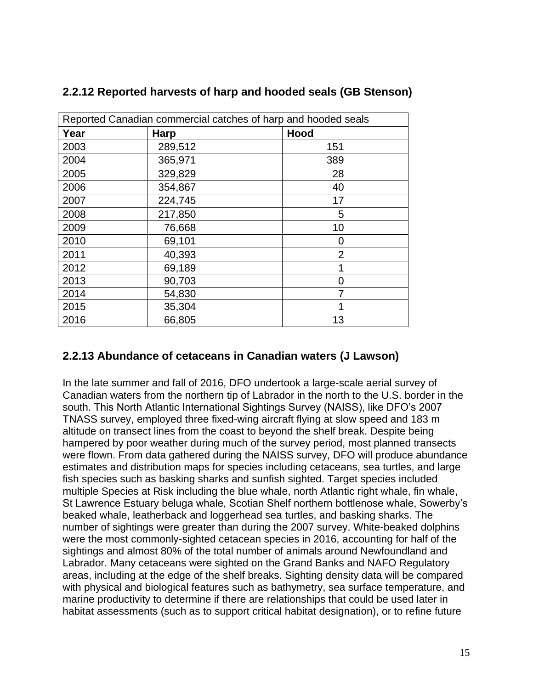| Reported Canadian commercial catches of harp and hooded seals |         |                |  |  |  |  |
|---------------------------------------------------------------|---------|----------------|--|--|--|--|
| Year                                                          | Harp    | <b>Hood</b>    |  |  |  |  |
| 2003                                                          | 289,512 | 151            |  |  |  |  |
| 2004                                                          | 365,971 | 389            |  |  |  |  |
| 2005                                                          | 329,829 | 28             |  |  |  |  |
| 2006                                                          | 354,867 | 40             |  |  |  |  |
| 2007                                                          | 224,745 | 17             |  |  |  |  |
| 2008                                                          | 217,850 | 5              |  |  |  |  |
| 2009                                                          | 76,668  | 10             |  |  |  |  |
| 2010                                                          | 69,101  | 0              |  |  |  |  |
| 2011                                                          | 40,393  | $\overline{2}$ |  |  |  |  |
| 2012                                                          | 69,189  |                |  |  |  |  |
| 2013                                                          | 90,703  | 0              |  |  |  |  |
| 2014                                                          | 54,830  |                |  |  |  |  |
| 2015                                                          | 35,304  |                |  |  |  |  |
| 2016                                                          | 66,805  | 13             |  |  |  |  |

## <span id="page-14-0"></span>**2.2.12 Reported harvests of harp and hooded seals (GB Stenson)**

### <span id="page-14-1"></span>**2.2.13 Abundance of cetaceans in Canadian waters (J Lawson)**

In the late summer and fall of 2016, DFO undertook a large-scale aerial survey of Canadian waters from the northern tip of Labrador in the north to the U.S. border in the south. This North Atlantic International Sightings Survey (NAISS), like DFO's 2007 TNASS survey, employed three fixed-wing aircraft flying at slow speed and 183 m altitude on transect lines from the coast to beyond the shelf break. Despite being hampered by poor weather during much of the survey period, most planned transects were flown. From data gathered during the NAISS survey, DFO will produce abundance estimates and distribution maps for species including cetaceans, sea turtles, and large fish species such as basking sharks and sunfish sighted. Target species included multiple Species at Risk including the blue whale, north Atlantic right whale, fin whale, St Lawrence Estuary beluga whale, Scotian Shelf northern bottlenose whale, Sowerby's beaked whale, leatherback and loggerhead sea turtles, and basking sharks. The number of sightings were greater than during the 2007 survey. White-beaked dolphins were the most commonly-sighted cetacean species in 2016, accounting for half of the sightings and almost 80% of the total number of animals around Newfoundland and Labrador. Many cetaceans were sighted on the Grand Banks and NAFO Regulatory areas, including at the edge of the shelf breaks. Sighting density data will be compared with physical and biological features such as bathymetry, sea surface temperature, and marine productivity to determine if there are relationships that could be used later in habitat assessments (such as to support critical habitat designation), or to refine future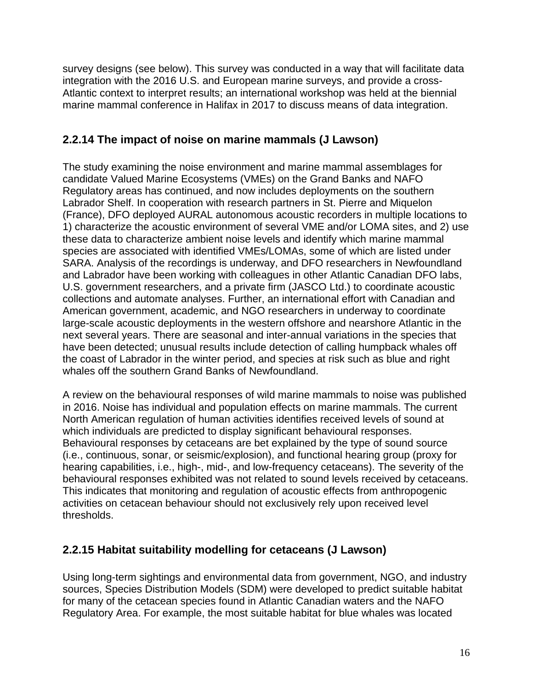survey designs (see below). This survey was conducted in a way that will facilitate data integration with the 2016 U.S. and European marine surveys, and provide a cross-Atlantic context to interpret results; an international workshop was held at the biennial marine mammal conference in Halifax in 2017 to discuss means of data integration.

## <span id="page-15-0"></span>**2.2.14 The impact of noise on marine mammals (J Lawson)**

The study examining the noise environment and marine mammal assemblages for candidate Valued Marine Ecosystems (VMEs) on the Grand Banks and NAFO Regulatory areas has continued, and now includes deployments on the southern Labrador Shelf. In cooperation with research partners in St. Pierre and Miquelon (France), DFO deployed AURAL autonomous acoustic recorders in multiple locations to 1) characterize the acoustic environment of several VME and/or LOMA sites, and 2) use these data to characterize ambient noise levels and identify which marine mammal species are associated with identified VMEs/LOMAs, some of which are listed under SARA. Analysis of the recordings is underway, and DFO researchers in Newfoundland and Labrador have been working with colleagues in other Atlantic Canadian DFO labs, U.S. government researchers, and a private firm (JASCO Ltd.) to coordinate acoustic collections and automate analyses. Further, an international effort with Canadian and American government, academic, and NGO researchers in underway to coordinate large-scale acoustic deployments in the western offshore and nearshore Atlantic in the next several years. There are seasonal and inter-annual variations in the species that have been detected; unusual results include detection of calling humpback whales off the coast of Labrador in the winter period, and species at risk such as blue and right whales off the southern Grand Banks of Newfoundland.

A review on the behavioural responses of wild marine mammals to noise was published in 2016. Noise has individual and population effects on marine mammals. The current North American regulation of human activities identifies received levels of sound at which individuals are predicted to display significant behavioural responses. Behavioural responses by cetaceans are bet explained by the type of sound source (i.e., continuous, sonar, or seismic/explosion), and functional hearing group (proxy for hearing capabilities, i.e., high-, mid-, and low-frequency cetaceans). The severity of the behavioural responses exhibited was not related to sound levels received by cetaceans. This indicates that monitoring and regulation of acoustic effects from anthropogenic activities on cetacean behaviour should not exclusively rely upon received level thresholds.

## <span id="page-15-1"></span>**2.2.15 Habitat suitability modelling for cetaceans (J Lawson)**

Using long-term sightings and environmental data from government, NGO, and industry sources, Species Distribution Models (SDM) were developed to predict suitable habitat for many of the cetacean species found in Atlantic Canadian waters and the NAFO Regulatory Area. For example, the most suitable habitat for blue whales was located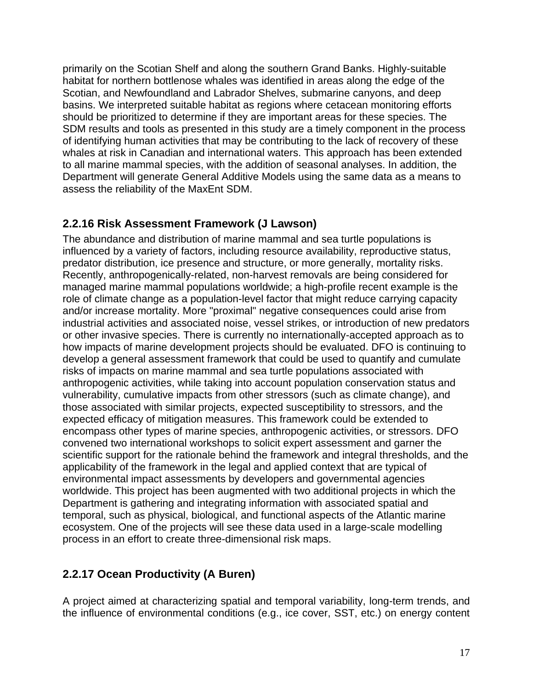primarily on the Scotian Shelf and along the southern Grand Banks. Highly-suitable habitat for northern bottlenose whales was identified in areas along the edge of the Scotian, and Newfoundland and Labrador Shelves, submarine canyons, and deep basins. We interpreted suitable habitat as regions where cetacean monitoring efforts should be prioritized to determine if they are important areas for these species. The SDM results and tools as presented in this study are a timely component in the process of identifying human activities that may be contributing to the lack of recovery of these whales at risk in Canadian and international waters. This approach has been extended to all marine mammal species, with the addition of seasonal analyses. In addition, the Department will generate General Additive Models using the same data as a means to assess the reliability of the MaxEnt SDM.

## <span id="page-16-0"></span>**2.2.16 Risk Assessment Framework (J Lawson)**

The abundance and distribution of marine mammal and sea turtle populations is influenced by a variety of factors, including resource availability, reproductive status, predator distribution, ice presence and structure, or more generally, mortality risks. Recently, anthropogenically-related, non-harvest removals are being considered for managed marine mammal populations worldwide; a high-profile recent example is the role of climate change as a population-level factor that might reduce carrying capacity and/or increase mortality. More "proximal" negative consequences could arise from industrial activities and associated noise, vessel strikes, or introduction of new predators or other invasive species. There is currently no internationally-accepted approach as to how impacts of marine development projects should be evaluated. DFO is continuing to develop a general assessment framework that could be used to quantify and cumulate risks of impacts on marine mammal and sea turtle populations associated with anthropogenic activities, while taking into account population conservation status and vulnerability, cumulative impacts from other stressors (such as climate change), and those associated with similar projects, expected susceptibility to stressors, and the expected efficacy of mitigation measures. This framework could be extended to encompass other types of marine species, anthropogenic activities, or stressors. DFO convened two international workshops to solicit expert assessment and garner the scientific support for the rationale behind the framework and integral thresholds, and the applicability of the framework in the legal and applied context that are typical of environmental impact assessments by developers and governmental agencies worldwide. This project has been augmented with two additional projects in which the Department is gathering and integrating information with associated spatial and temporal, such as physical, biological, and functional aspects of the Atlantic marine ecosystem. One of the projects will see these data used in a large-scale modelling process in an effort to create three-dimensional risk maps.

## <span id="page-16-1"></span>**2.2.17 Ocean Productivity (A Buren)**

A project aimed at characterizing spatial and temporal variability, long-term trends, and the influence of environmental conditions (e.g., ice cover, SST, etc.) on energy content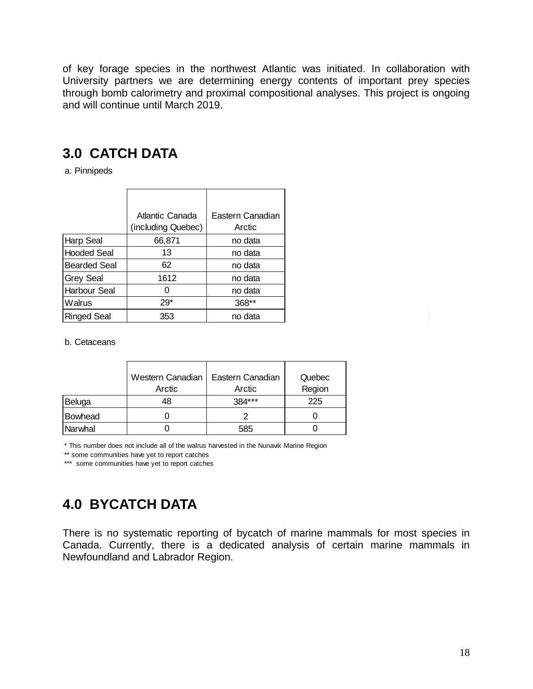of key forage species in the northwest Atlantic was initiated. In collaboration with University partners we are determining energy contents of important prey species through bomb calorimetry and proximal compositional analyses. This project is ongoing and will continue until March 2019.

## <span id="page-17-0"></span>**3.0 CATCH DATA**

a. Pinnipeds

|                     | Atlantic Canada    | Eastern Canadian |
|---------------------|--------------------|------------------|
|                     |                    |                  |
|                     | (including Quebec) | Arctic           |
| Harp Seal           | 66,871             | no data          |
| <b>Hooded Seal</b>  | 13                 | no data          |
| <b>Bearded Seal</b> | 62                 | no data          |
| <b>Grey Seal</b>    | 1612               | no data          |
| <b>Harbour Seal</b> | O                  | no data          |
| Walrus              | $29*$              | 368**            |
| <b>Ringed Seal</b>  | 353                | no data          |

b. Cetaceans

|                | Western Canadian | Eastern Canadian | Quebec |
|----------------|------------------|------------------|--------|
|                | Arctic           | Arctic           | Region |
| Beluga         | 48               | $384***$         | 225    |
| <b>Bowhead</b> |                  |                  |        |
| Narwhal        |                  | 585              |        |

\* This number does not include all of the walrus harvested in the Nunavik Marine Region

\*\* some communities have yet to report catches

\*\*\* some communities have yet to report catches

## <span id="page-17-1"></span>**4.0 BYCATCH DATA**

There is no systematic reporting of bycatch of marine mammals for most species in Canada. Currently, there is a dedicated analysis of certain marine mammals in Newfoundland and Labrador Region.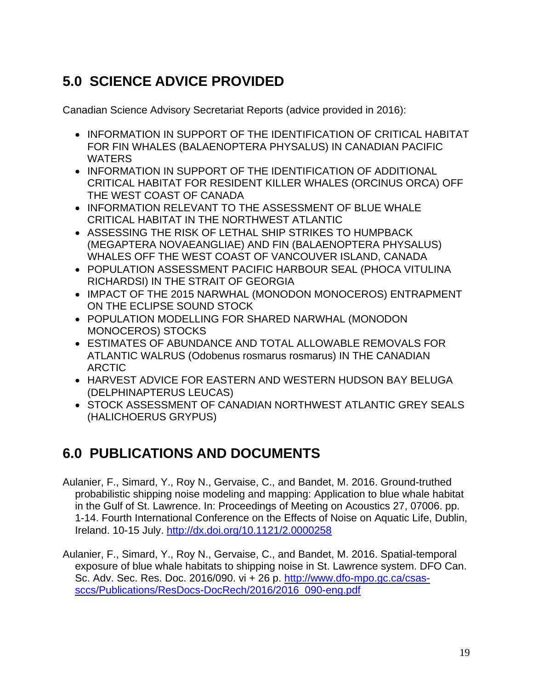## <span id="page-18-0"></span>**5.0 SCIENCE ADVICE PROVIDED**

Canadian Science Advisory Secretariat Reports (advice provided in 2016):

- INFORMATION IN SUPPORT OF THE IDENTIFICATION OF CRITICAL HABITAT FOR FIN WHALES (BALAENOPTERA PHYSALUS) IN CANADIAN PACIFIC **WATERS**
- INFORMATION IN SUPPORT OF THE IDENTIFICATION OF ADDITIONAL CRITICAL HABITAT FOR RESIDENT KILLER WHALES (ORCINUS ORCA) OFF THE WEST COAST OF CANADA
- INFORMATION RELEVANT TO THE ASSESSMENT OF BLUE WHALE CRITICAL HABITAT IN THE NORTHWEST ATLANTIC
- ASSESSING THE RISK OF LETHAL SHIP STRIKES TO HUMPBACK (MEGAPTERA NOVAEANGLIAE) AND FIN (BALAENOPTERA PHYSALUS) WHALES OFF THE WEST COAST OF VANCOUVER ISLAND, CANADA
- POPULATION ASSESSMENT PACIFIC HARBOUR SEAL (PHOCA VITULINA RICHARDSI) IN THE STRAIT OF GEORGIA
- IMPACT OF THE 2015 NARWHAL (MONODON MONOCEROS) ENTRAPMENT ON THE ECLIPSE SOUND STOCK
- POPULATION MODELLING FOR SHARED NARWHAL (MONODON MONOCEROS) STOCKS
- ESTIMATES OF ABUNDANCE AND TOTAL ALLOWABLE REMOVALS FOR ATLANTIC WALRUS (Odobenus rosmarus rosmarus) IN THE CANADIAN ARCTIC
- HARVEST ADVICE FOR EASTERN AND WESTERN HUDSON BAY BELUGA (DELPHINAPTERUS LEUCAS)
- STOCK ASSESSMENT OF CANADIAN NORTHWEST ATLANTIC GREY SEALS (HALICHOERUS GRYPUS)

## <span id="page-18-1"></span>**6.0 PUBLICATIONS AND DOCUMENTS**

- Aulanier, F., Simard, Y., Roy N., Gervaise, C., and Bandet, M. 2016. Ground-truthed probabilistic shipping noise modeling and mapping: Application to blue whale habitat in the Gulf of St. Lawrence. In: Proceedings of Meeting on Acoustics 27, 07006. pp. 1-14. Fourth International Conference on the Effects of Noise on Aquatic Life, Dublin, Ireland. 10-15 July.<http://dx.doi.org/10.1121/2.0000258>
- Aulanier, F., Simard, Y., Roy N., Gervaise, C., and Bandet, M. 2016. Spatial-temporal exposure of blue whale habitats to shipping noise in St. Lawrence system. DFO Can. Sc. Adv. Sec. Res. Doc. 2016/090. vi + 26 p. [http://www.dfo-mpo.gc.ca/csas](http://www.dfo-mpo.gc.ca/csas-sccs/Publications/ResDocs-DocRech/2016/2016_090-eng.pdf)[sccs/Publications/ResDocs-DocRech/2016/2016\\_090-eng.pdf](http://www.dfo-mpo.gc.ca/csas-sccs/Publications/ResDocs-DocRech/2016/2016_090-eng.pdf)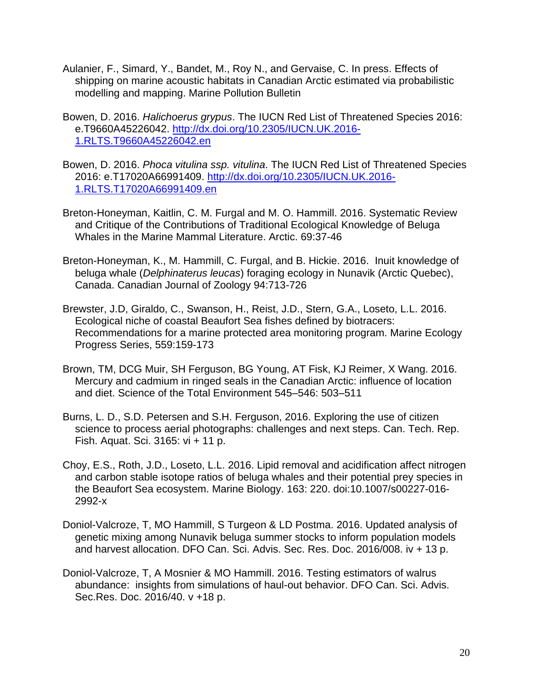- Aulanier, F., Simard, Y., Bandet, M., Roy N., and Gervaise, C. In press. Effects of shipping on marine acoustic habitats in Canadian Arctic estimated via probabilistic modelling and mapping. Marine Pollution Bulletin
- Bowen, D. 2016. *Halichoerus grypus*. The IUCN Red List of Threatened Species 2016: e.T9660A45226042. [http://dx.doi.org/10.2305/IUCN.UK.2016-](http://dx.doi.org/10.2305/IUCN.UK.2016-1.RLTS.T9660A45226042.en) [1.RLTS.T9660A45226042.en](http://dx.doi.org/10.2305/IUCN.UK.2016-1.RLTS.T9660A45226042.en)
- Bowen, D. 2016. *Phoca vitulina ssp. vitulina*. The IUCN Red List of Threatened Species 2016: e.T17020A66991409. [http://dx.doi.org/10.2305/IUCN.UK.2016-](http://dx.doi.org/10.2305/IUCN.UK.2016-1.RLTS.T17020A66991409.en) [1.RLTS.T17020A66991409.en](http://dx.doi.org/10.2305/IUCN.UK.2016-1.RLTS.T17020A66991409.en)
- Breton-Honeyman, Kaitlin, C. M. Furgal and M. O. Hammill. 2016. Systematic Review and Critique of the Contributions of Traditional Ecological Knowledge of Beluga Whales in the Marine Mammal Literature. Arctic. 69:37-46
- Breton-Honeyman, K., M. Hammill, C. Furgal, and B. Hickie. 2016. Inuit knowledge of beluga whale (*Delphinaterus leucas*) foraging ecology in Nunavik (Arctic Quebec), Canada. Canadian Journal of Zoology 94:713-726
- Brewster, J.D, Giraldo, C., Swanson, H., Reist, J.D., Stern, G.A., Loseto, L.L. 2016. Ecological niche of coastal Beaufort Sea fishes defined by biotracers: Recommendations for a marine protected area monitoring program. Marine Ecology Progress Series, 559:159-173
- Brown, TM, DCG Muir, SH Ferguson, BG Young, AT Fisk, KJ Reimer, X Wang. 2016. Mercury and cadmium in ringed seals in the Canadian Arctic: influence of location and diet. Science of the Total Environment 545–546: 503–511
- Burns, L. D., S.D. Petersen and S.H. Ferguson, 2016. Exploring the use of citizen science to process aerial photographs: challenges and next steps. Can. Tech. Rep. Fish. Aquat. Sci. 3165: vi + 11 p.
- Choy, E.S., Roth, J.D., Loseto, L.L. 2016. Lipid removal and acidification affect nitrogen and carbon stable isotope ratios of beluga whales and their potential prey species in the Beaufort Sea ecosystem. Marine Biology. 163: 220. doi:10.1007/s00227-016- 2992-x
- Doniol-Valcroze, T, MO Hammill, S Turgeon & LD Postma. 2016. Updated analysis of genetic mixing among Nunavik beluga summer stocks to inform population models and harvest allocation. DFO Can. Sci. Advis. Sec. Res. Doc. 2016/008. iv + 13 p.
- Doniol-Valcroze, T, A Mosnier & MO Hammill. 2016. Testing estimators of walrus abundance: insights from simulations of haul-out behavior. DFO Can. Sci. Advis. Sec.Res. Doc. 2016/40. v +18 p.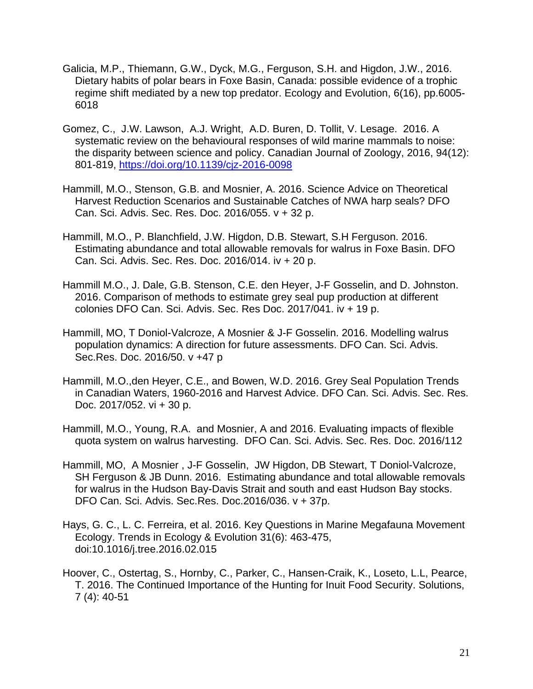- Galicia, M.P., Thiemann, G.W., Dyck, M.G., Ferguson, S.H. and Higdon, J.W., 2016. Dietary habits of polar bears in Foxe Basin, Canada: possible evidence of a trophic regime shift mediated by a new top predator. Ecology and Evolution, 6(16), pp.6005- 6018
- Gomez, C., J.W. Lawson, A.J. Wright, A.D. Buren, D. Tollit, V. Lesage. 2016. A systematic review on the behavioural responses of wild marine mammals to noise: the disparity between science and policy. Canadian Journal of Zoology, 2016, 94(12): 801-819,<https://doi.org/10.1139/cjz-2016-0098>
- Hammill, M.O., Stenson, G.B. and Mosnier, A. 2016. Science Advice on Theoretical Harvest Reduction Scenarios and Sustainable Catches of NWA harp seals? DFO Can. Sci. Advis. Sec. Res. Doc. 2016/055. v + 32 p.
- Hammill, M.O., P. Blanchfield, J.W. Higdon, D.B. Stewart, S.H Ferguson. 2016. Estimating abundance and total allowable removals for walrus in Foxe Basin. DFO Can. Sci. Advis. Sec. Res. Doc. 2016/014. iv + 20 p.
- Hammill M.O., J. Dale, G.B. Stenson, C.E. den Heyer, J-F Gosselin, and D. Johnston. 2016. Comparison of methods to estimate grey seal pup production at different colonies DFO Can. Sci. Advis. Sec. Res Doc. 2017/041. iv + 19 p.
- Hammill, MO, T Doniol-Valcroze, A Mosnier & J-F Gosselin. 2016. Modelling walrus population dynamics: A direction for future assessments. DFO Can. Sci. Advis. Sec.Res. Doc. 2016/50. v +47 p
- Hammill, M.O.,den Heyer, C.E., and Bowen, W.D. 2016. Grey Seal Population Trends in Canadian Waters, 1960-2016 and Harvest Advice. DFO Can. Sci. Advis. Sec. Res. Doc. 2017/052. vi + 30 p.
- Hammill, M.O., Young, R.A. and Mosnier, A and 2016. Evaluating impacts of flexible quota system on walrus harvesting. DFO Can. Sci. Advis. Sec. Res. Doc. 2016/112
- Hammill, MO, A Mosnier , J-F Gosselin, JW Higdon, DB Stewart, T Doniol-Valcroze, SH Ferguson & JB Dunn. 2016. Estimating abundance and total allowable removals for walrus in the Hudson Bay-Davis Strait and south and east Hudson Bay stocks. DFO Can. Sci. Advis. Sec.Res. Doc.2016/036. v + 37p.
- Hays, G. C., L. C. Ferreira, et al. 2016. Key Questions in Marine Megafauna Movement Ecology. Trends in Ecology & Evolution 31(6): 463-475, doi:10.1016/j.tree.2016.02.015
- Hoover, C., Ostertag, S., Hornby, C., Parker, C., Hansen-Craik, K., Loseto, L.L, Pearce, T. 2016. The Continued Importance of the Hunting for Inuit Food Security. Solutions, 7 (4): 40-51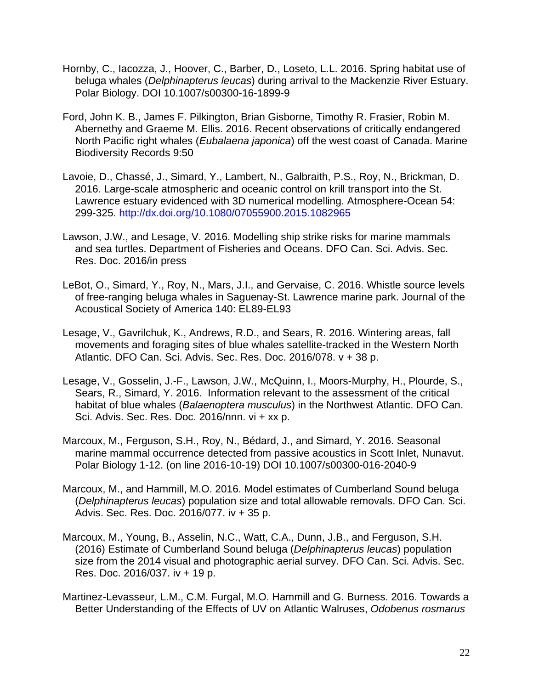- Hornby, C., Iacozza, J., Hoover, C., Barber, D., Loseto, L.L. 2016. Spring habitat use of beluga whales (*Delphinapterus leucas*) during arrival to the Mackenzie River Estuary. Polar Biology. DOI 10.1007/s00300-16-1899-9
- Ford, John K. B., James F. Pilkington, Brian Gisborne, Timothy R. Frasier, Robin M. Abernethy and Graeme M. Ellis. 2016. Recent observations of critically endangered North Pacific right whales (*Eubalaena japonica*) off the west coast of Canada. Marine Biodiversity Records 9:50
- Lavoie, D., Chassé, J., Simard, Y., Lambert, N., Galbraith, P.S., Roy, N., Brickman, D. 2016. Large-scale atmospheric and oceanic control on krill transport into the St. Lawrence estuary evidenced with 3D numerical modelling. Atmosphere-Ocean 54: 299-325.<http://dx.doi.org/10.1080/07055900.2015.1082965>
- Lawson, J.W., and Lesage, V. 2016. Modelling ship strike risks for marine mammals and sea turtles. Department of Fisheries and Oceans. DFO Can. Sci. Advis. Sec. Res. Doc. 2016/in press
- LeBot, O., Simard, Y., Roy, N., Mars, J.I., and Gervaise, C. 2016. Whistle source levels of free-ranging beluga whales in Saguenay-St. Lawrence marine park. Journal of the Acoustical Society of America 140: EL89-EL93
- Lesage, V., Gavrilchuk, K., Andrews, R.D., and Sears, R. 2016. Wintering areas, fall movements and foraging sites of blue whales satellite-tracked in the Western North Atlantic. DFO Can. Sci. Advis. Sec. Res. Doc. 2016/078. v + 38 p.
- Lesage, V., Gosselin, J.-F., Lawson, J.W., McQuinn, I., Moors-Murphy, H., Plourde, S., Sears, R., Simard, Y. 2016. Information relevant to the assessment of the critical habitat of blue whales (*Balaenoptera musculus*) in the Northwest Atlantic. DFO Can. Sci. Advis. Sec. Res. Doc. 2016/nnn. vi + xx p.
- Marcoux, M., Ferguson, S.H., Roy, N., Bédard, J., and Simard, Y. 2016. Seasonal marine mammal occurrence detected from passive acoustics in Scott Inlet, Nunavut. Polar Biology 1-12. (on line 2016-10-19) DOI 10.1007/s00300-016-2040-9
- Marcoux, M., and Hammill, M.O. 2016. Model estimates of Cumberland Sound beluga (*Delphinapterus leucas*) population size and total allowable removals. DFO Can. Sci. Advis. Sec. Res. Doc. 2016/077. iv + 35 p.
- Marcoux, M., Young, B., Asselin, N.C., Watt, C.A., Dunn, J.B., and Ferguson, S.H. (2016) Estimate of Cumberland Sound beluga (*Delphinapterus leucas*) population size from the 2014 visual and photographic aerial survey. DFO Can. Sci. Advis. Sec. Res. Doc. 2016/037. iv + 19 p.
- Martinez-Levasseur, L.M., C.M. Furgal, M.O. Hammill and G. Burness. 2016. Towards a Better Understanding of the Effects of UV on Atlantic Walruses, *Odobenus rosmarus*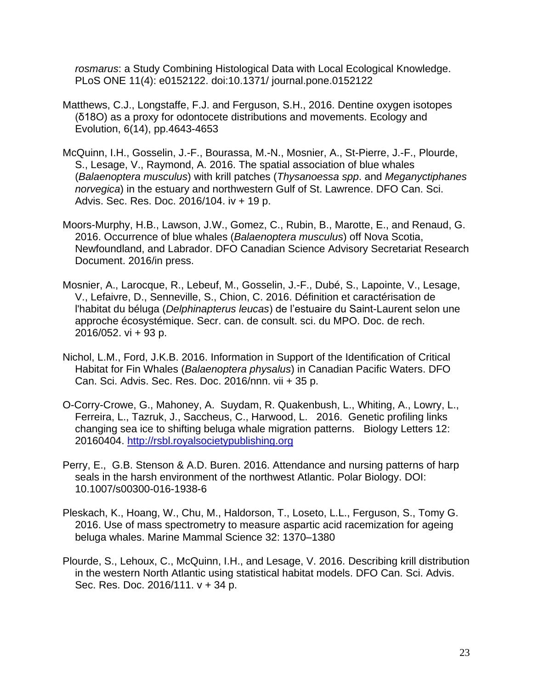*rosmarus*: a Study Combining Histological Data with Local Ecological Knowledge. PLoS ONE 11(4): e0152122. doi:10.1371/ journal.pone.0152122

- Matthews, C.J., Longstaffe, F.J. and Ferguson, S.H., 2016. Dentine oxygen isotopes (δ18O) as a proxy for odontocete distributions and movements. Ecology and Evolution, 6(14), pp.4643-4653
- McQuinn, I.H., Gosselin, J.-F., Bourassa, M.-N., Mosnier, A., St-Pierre, J.-F., Plourde, S., Lesage, V., Raymond, A. 2016. The spatial association of blue whales (*Balaenoptera musculus*) with krill patches (*Thysanoessa spp*. and *Meganyctiphanes norvegica*) in the estuary and northwestern Gulf of St. Lawrence. DFO Can. Sci. Advis. Sec. Res. Doc. 2016/104. iv + 19 p.
- Moors-Murphy, H.B., Lawson, J.W., Gomez, C., Rubin, B., Marotte, E., and Renaud, G. 2016. Occurrence of blue whales (*Balaenoptera musculus*) off Nova Scotia, Newfoundland, and Labrador. DFO Canadian Science Advisory Secretariat Research Document. 2016/in press.
- Mosnier, A., Larocque, R., Lebeuf, M., Gosselin, J.-F., Dubé, S., Lapointe, V., Lesage, V., Lefaivre, D., Senneville, S., Chion, C. 2016. Définition et caractérisation de l'habitat du béluga (*Delphinapterus leucas*) de l'estuaire du Saint-Laurent selon une approche écosystémique. Secr. can. de consult. sci. du MPO. Doc. de rech. 2016/052. vi + 93 p.
- Nichol, L.M., Ford, J.K.B. 2016. Information in Support of the Identification of Critical Habitat for Fin Whales (*Balaenoptera physalus*) in Canadian Pacific Waters. DFO Can. Sci. Advis. Sec. Res. Doc. 2016/nnn. vii + 35 p.
- O-Corry-Crowe, G., Mahoney, A. Suydam, R. Quakenbush, L., Whiting, A., Lowry, L., Ferreira, L., Tazruk, J., Saccheus, C., Harwood, L. 2016. Genetic profiling links changing sea ice to shifting beluga whale migration patterns. Biology Letters 12: 20160404. [http://rsbl.royalsocietypublishing.org](http://rsbl.royalsocietypublishing.org/)
- Perry, E., G.B. Stenson & A.D. Buren. 2016. Attendance and nursing patterns of harp seals in the harsh environment of the northwest Atlantic. Polar Biology. DOI: 10.1007/s00300-016-1938-6
- Pleskach, K., Hoang, W., Chu, M., Haldorson, T., Loseto, L.L., Ferguson, S., Tomy G. 2016. Use of mass spectrometry to measure aspartic acid racemization for ageing beluga whales. Marine Mammal Science 32: 1370–1380
- Plourde, S., Lehoux, C., McQuinn, I.H., and Lesage, V. 2016. Describing krill distribution in the western North Atlantic using statistical habitat models. DFO Can. Sci. Advis. Sec. Res. Doc. 2016/111. v + 34 p.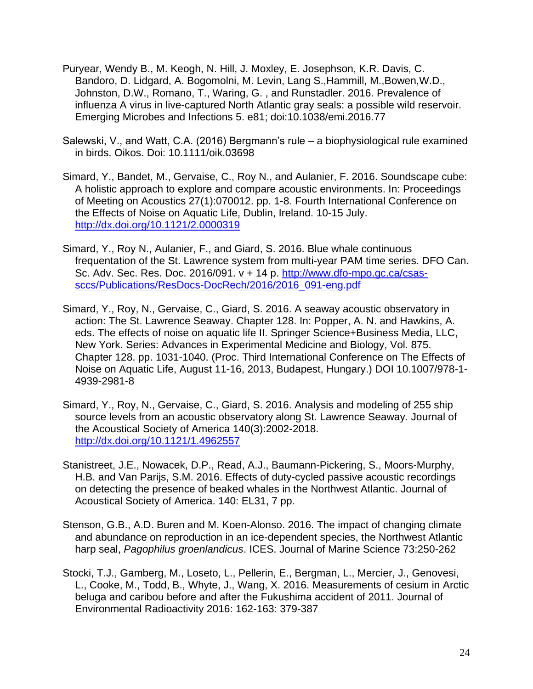- Puryear, Wendy B., M. Keogh, N. Hill, J. Moxley, E. Josephson, K.R. Davis, C. Bandoro, D. Lidgard, A. Bogomolni, M. Levin, Lang S.,Hammill, M.,Bowen,W.D., Johnston, D.W., Romano, T., Waring, G. , and Runstadler. 2016. Prevalence of influenza A virus in live-captured North Atlantic gray seals: a possible wild reservoir. Emerging Microbes and Infections 5. e81; doi:10.1038/emi.2016.77
- Salewski, V., and Watt, C.A. (2016) Bergmann's rule a biophysiological rule examined in birds. Oikos. Doi: 10.1111/oik.03698
- Simard, Y., Bandet, M., Gervaise, C., Roy N., and Aulanier, F. 2016. Soundscape cube: A holistic approach to explore and compare acoustic environments. In: Proceedings of Meeting on Acoustics 27(1):070012. pp. 1-8. Fourth International Conference on the Effects of Noise on Aquatic Life, Dublin, Ireland. 10-15 July. <http://dx.doi.org/10.1121/2.0000319>
- Simard, Y., Roy N., Aulanier, F., and Giard, S. 2016. Blue whale continuous frequentation of the St. Lawrence system from multi-year PAM time series. DFO Can. Sc. Adv. Sec. Res. Doc. 2016/091. v + 14 p. [http://www.dfo-mpo.gc.ca/csas](http://www.dfo-mpo.gc.ca/csas-sccs/Publications/ResDocs-DocRech/2016/2016_091-eng.pdf)[sccs/Publications/ResDocs-DocRech/2016/2016\\_091-eng.pdf](http://www.dfo-mpo.gc.ca/csas-sccs/Publications/ResDocs-DocRech/2016/2016_091-eng.pdf)
- Simard, Y., Roy, N., Gervaise, C., Giard, S. 2016. A seaway acoustic observatory in action: The St. Lawrence Seaway. Chapter 128. In: Popper, A. N. and Hawkins, A. eds. The effects of noise on aquatic life II. Springer Science+Business Media, LLC, New York. Series: Advances in Experimental Medicine and Biology, Vol. 875. Chapter 128. pp. 1031-1040. (Proc. Third International Conference on The Effects of Noise on Aquatic Life, August 11-16, 2013, Budapest, Hungary.) DOI 10.1007/978-1- 4939-2981-8
- Simard, Y., Roy, N., Gervaise, C., Giard, S. 2016. Analysis and modeling of 255 ship source levels from an acoustic observatory along St. Lawrence Seaway. Journal of the Acoustical Society of America 140(3):2002-2018. <http://dx.doi.org/10.1121/1.4962557>
- Stanistreet, J.E., Nowacek, D.P., Read, A.J., Baumann-Pickering, S., Moors-Murphy, H.B. and Van Parijs, S.M. 2016. Effects of duty-cycled passive acoustic recordings on detecting the presence of beaked whales in the Northwest Atlantic. Journal of Acoustical Society of America. 140: EL31, 7 pp.
- Stenson, G.B., A.D. Buren and M. Koen-Alonso. 2016. The impact of changing climate and abundance on reproduction in an ice-dependent species, the Northwest Atlantic harp seal, *Pagophilus groenlandicus*. ICES. Journal of Marine Science 73:250-262
- Stocki, T.J., Gamberg, M., Loseto, L., Pellerin, E., Bergman, L., Mercier, J., Genovesi, L., Cooke, M., Todd, B., Whyte, J., Wang, X. 2016. Measurements of cesium in Arctic beluga and caribou before and after the Fukushima accident of 2011. Journal of Environmental Radioactivity 2016: 162-163: 379-387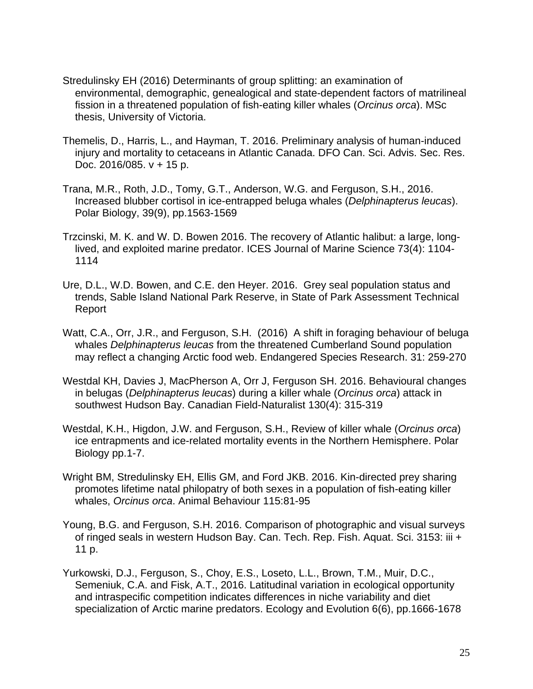- Stredulinsky EH (2016) Determinants of group splitting: an examination of environmental, demographic, genealogical and state-dependent factors of matrilineal fission in a threatened population of fish-eating killer whales (*Orcinus orca*). MSc thesis, University of Victoria.
- Themelis, D., Harris, L., and Hayman, T. 2016. Preliminary analysis of human-induced injury and mortality to cetaceans in Atlantic Canada. DFO Can. Sci. Advis. Sec. Res. Doc. 2016/085. v + 15 p.
- Trana, M.R., Roth, J.D., Tomy, G.T., Anderson, W.G. and Ferguson, S.H., 2016. Increased blubber cortisol in ice-entrapped beluga whales (*Delphinapterus leucas*). Polar Biology, 39(9), pp.1563-1569
- Trzcinski, M. K. and W. D. Bowen 2016. The recovery of Atlantic halibut: a large, longlived, and exploited marine predator. ICES Journal of Marine Science 73(4): 1104- 1114
- Ure, D.L., W.D. Bowen, and C.E. den Heyer. 2016. Grey seal population status and trends, Sable Island National Park Reserve, in State of Park Assessment Technical Report
- Watt, C.A., Orr, J.R., and Ferguson, S.H. (2016) A shift in foraging behaviour of beluga whales *Delphinapterus leucas* from the threatened Cumberland Sound population may reflect a changing Arctic food web. Endangered Species Research. 31: 259-270
- Westdal KH, Davies J, MacPherson A, Orr J, Ferguson SH. 2016. Behavioural changes in belugas (*Delphinapterus leucas*) during a killer whale (*Orcinus orca*) attack in southwest Hudson Bay. Canadian Field-Naturalist 130(4): 315-319
- Westdal, K.H., Higdon, J.W. and Ferguson, S.H., Review of killer whale (*Orcinus orca*) ice entrapments and ice-related mortality events in the Northern Hemisphere. Polar Biology pp.1-7.
- Wright BM, Stredulinsky EH, Ellis GM, and Ford JKB. 2016. Kin-directed prey sharing promotes lifetime natal philopatry of both sexes in a population of fish-eating killer whales, *Orcinus orca*. Animal Behaviour 115:81-95
- Young, B.G. and Ferguson, S.H. 2016. Comparison of photographic and visual surveys of ringed seals in western Hudson Bay. Can. Tech. Rep. Fish. Aquat. Sci. 3153: iii + 11 p.
- Yurkowski, D.J., Ferguson, S., Choy, E.S., Loseto, L.L., Brown, T.M., Muir, D.C., Semeniuk, C.A. and Fisk, A.T., 2016. Latitudinal variation in ecological opportunity and intraspecific competition indicates differences in niche variability and diet specialization of Arctic marine predators. Ecology and Evolution 6(6), pp.1666-1678